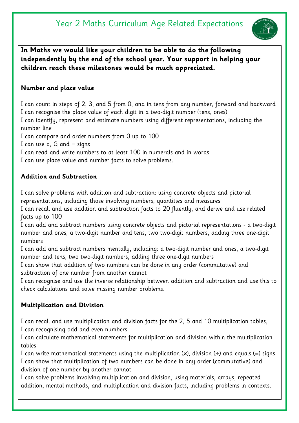# Year 2 Maths Curriculum Age Related Expectations



**In Maths we would like your children to be able to do the following independently by the end of the school year. Your support in helping your children reach these milestones would be much appreciated.** 

## **Number and place value**

I can count in steps of 2, 3, and 5 from 0, and in tens from any number, forward and backward I can recognise the place value of each digit in a two-digit number (tens, ones) I can identify, represent and estimate numbers using different representations, including the number line I can compare and order numbers from 0 up to 100 I can use q,  $G$  and  $=$  signs

I can read and write numbers to at least 100 in numerals and in words

I can use place value and number facts to solve problems.

## **Addition and Subtraction**

I can solve problems with addition and subtraction: using concrete objects and pictorial representations, including those involving numbers, quantities and measures

I can recall and use addition and subtraction facts to 20 fluently, and derive and use related facts up to 100

I can add and subtract numbers using concrete objects and pictorial representations - a two-digit number and ones, a two-digit number and tens, two two-digit numbers, adding three one-digit numbers

I can add and subtract numbers mentally, including: a two-digit number and ones, a two-digit number and tens, two two-digit numbers, adding three one-digit numbers

I can show that addition of two numbers can be done in any order (commutative) and subtraction of one number from another cannot

I can recognise and use the inverse relationship between addition and subtraction and use this to check calculations and solve missing number problems.

# **Multiplication and Division**

I can recall and use multiplication and division facts for the 2, 5 and 10 multiplication tables, I can recognising odd and even numbers

I can calculate mathematical statements for multiplication and division within the multiplication tables

I can write mathematical statements using the multiplication ( $\times$ ), division ( $\div$ ) and equals (=) signs I can show that multiplication of two numbers can be done in any order (commutative) and division of one number by another cannot

I can solve problems involving multiplication and division, using materials, arrays, repeated addition, mental methods, and multiplication and division facts, including problems in contexts.